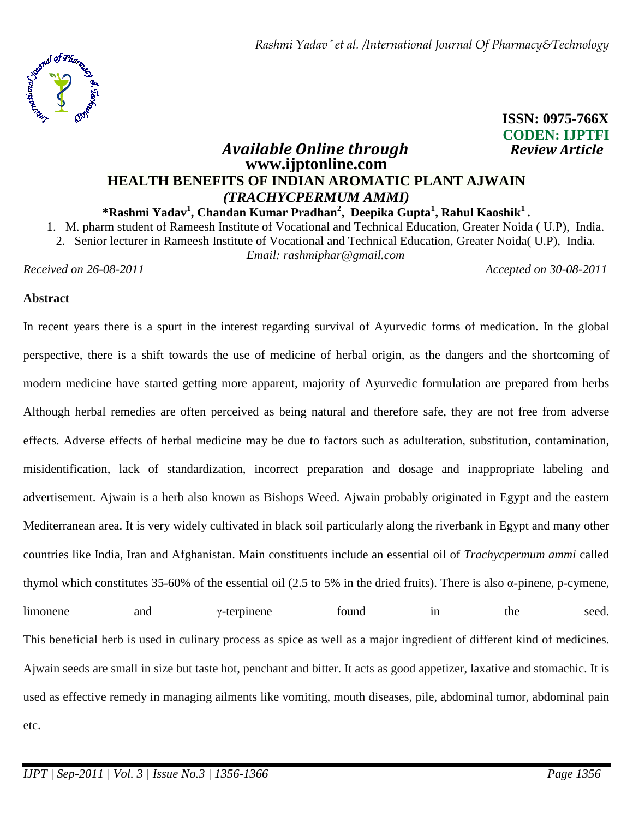

# **ISSN: 0975-766X CODEN: IJPTFI**

# *Available Online through Review Article* **www.ijptonline.com HEALTH BENEFITS OF INDIAN AROMATIC PLANT AJWAIN** *(TRACHYCPERMUM AMMI)*

**\*Rashmi Yadav<sup>1</sup> , Chandan Kumar Pradhan<sup>2</sup> , Deepika Gupta<sup>1</sup> , Rahul Kaoshik<sup>1</sup> .** 

1. M. pharm student of Rameesh Institute of Vocational and Technical Education, Greater Noida ( U.P), India. 2. Senior lecturer in Rameesh Institute of Vocational and Technical Education, Greater Noida( U.P), India.

*Email: rashmiphar@gmail.com*

*Received on 26-08-2011 Accepted on 30-08-2011*

#### **Abstract**

In recent years there is a spurt in the interest regarding survival of Ayurvedic forms of medication. In the global perspective, there is a shift towards the use of medicine of herbal origin, as the dangers and the shortcoming of modern medicine have started getting more apparent, majority of Ayurvedic formulation are prepared from herbs Although herbal remedies are often perceived as being natural and therefore safe, they are not free from adverse effects. Adverse effects of herbal medicine may be due to factors such as adulteration, substitution, contamination, misidentification, lack of standardization, incorrect preparation and dosage and inappropriate labeling and advertisement. Ajwain is a herb also known as Bishops Weed. Ajwain probably originated in Egypt and the eastern Mediterranean area. It is very widely cultivated in black soil particularly along the riverbank in Egypt and many other countries like India, Iran and Afghanistan. Main constituents include an essential oil of *Trachycpermum ammi* called thymol which constitutes 35-60% of the essential oil (2.5 to 5% in the dried fruits). There is also α-pinene, p-cymene, limonene and  $\gamma$ -terpinene found in the seed. This beneficial herb is used in culinary process as spice as well as a major ingredient of different kind of medicines. Ajwain seeds are small in size but taste hot, penchant and bitter. It acts as good appetizer, laxative and stomachic. It is used as effective remedy in managing ailments like vomiting, mouth diseases, pile, abdominal tumor, abdominal pain etc.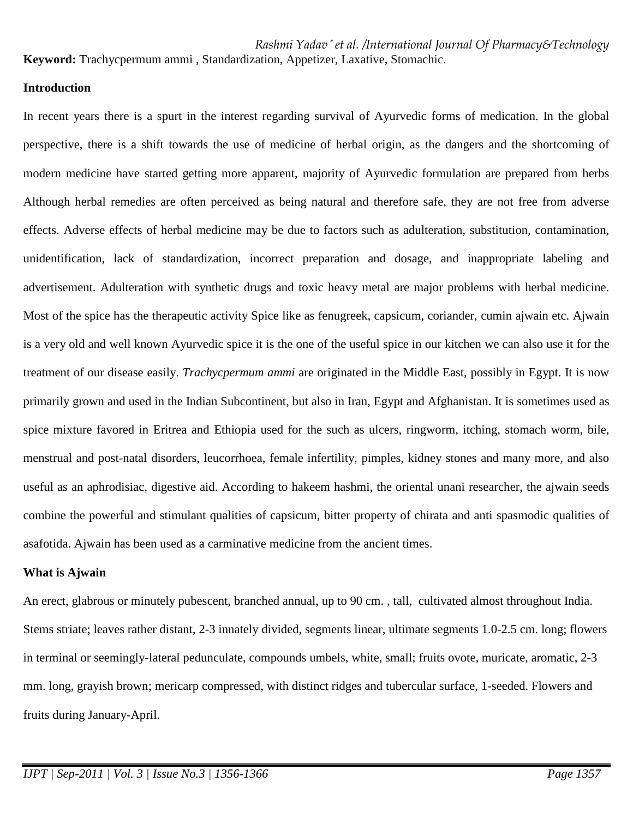**Keyword:** Trachycpermum ammi , Standardization, Appetizer, Laxative, Stomachic.

## **Introduction**

In recent years there is a spurt in the interest regarding survival of Ayurvedic forms of medication. In the global perspective, there is a shift towards the use of medicine of herbal origin, as the dangers and the shortcoming of modern medicine have started getting more apparent, majority of Ayurvedic formulation are prepared from herbs Although herbal remedies are often perceived as being natural and therefore safe, they are not free from adverse effects. Adverse effects of herbal medicine may be due to factors such as adulteration, substitution, contamination, unidentification, lack of standardization, incorrect preparation and dosage, and inappropriate labeling and advertisement. Adulteration with synthetic drugs and toxic heavy metal are major problems with herbal medicine. Most of the spice has the therapeutic activity Spice like as fenugreek, capsicum, coriander, cumin ajwain etc. Ajwain is a very old and well known Ayurvedic spice it is the one of the useful spice in our kitchen we can also use it for the treatment of our disease easily. *Trachycpermum ammi* are originated in the Middle East, possibly in Egypt. It is now primarily grown and used in the Indian Subcontinent, but also in Iran, Egypt and Afghanistan. It is sometimes used as spice mixture favored in Eritrea and Ethiopia used for the such as ulcers, ringworm, itching, stomach worm, bile, menstrual and post-natal disorders, leucorrhoea, female infertility, pimples, kidney stones and many more, and also useful as an aphrodisiac, digestive aid. According to hakeem hashmi, the oriental unani researcher, the ajwain seeds combine the powerful and stimulant qualities of capsicum, bitter property of chirata and anti spasmodic qualities of asafotida. Ajwain has been used as a carminative medicine from the ancient times.

# **What is Ajwain**

An erect, glabrous or minutely pubescent, branched annual, up to 90 cm. , tall, cultivated almost throughout India. Stems striate; leaves rather distant, 2-3 innately divided, segments linear, ultimate segments 1.0-2.5 cm. long; flowers in terminal or seemingly-lateral pedunculate, compounds umbels, white, small; fruits ovote, muricate, aromatic, 2-3 mm. long, grayish brown; mericarp compressed, with distinct ridges and tubercular surface, 1-seeded. Flowers and fruits during January-April.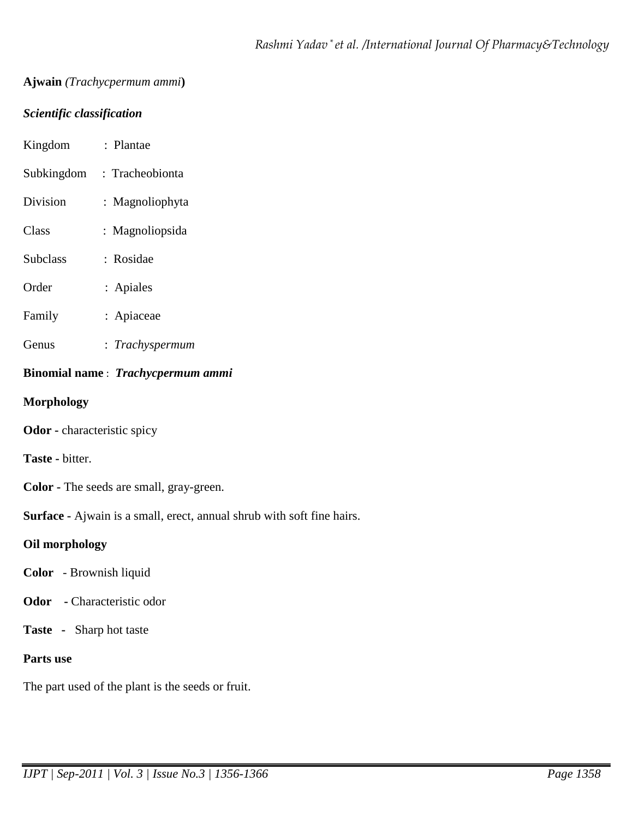# **Ajwain** *(Trachycpermum ammi***)**

# *Scientific classification*

| Kingdom                                         | : Plantae       |
|-------------------------------------------------|-----------------|
| Subkingdom                                      | : Tracheobionta |
| Division                                        | : Magnoliophyta |
| Class                                           | : Magnoliopsida |
| <b>Subclass</b>                                 | : Rosidae       |
| Order                                           | : Apiales       |
| Family                                          | : Apiaceae      |
| Genus                                           | : Trachyspermum |
| Binomial name: Trachycpermum ammi               |                 |
| <b>Morphology</b>                               |                 |
| Odor - characteristic spicy                     |                 |
| <b>Taste - bitter.</b>                          |                 |
| <b>Color</b> - The seeds are small, gray-green. |                 |

**Surface -** Ajwain is a small, erect, annual shrub with soft fine hairs.

# **Oil morphology**

- **Color**  Brownish liquid
- **Odor** Characteristic odor
- **Taste -** Sharp hot taste

# **Parts use**

The part used of the plant is the seeds or fruit.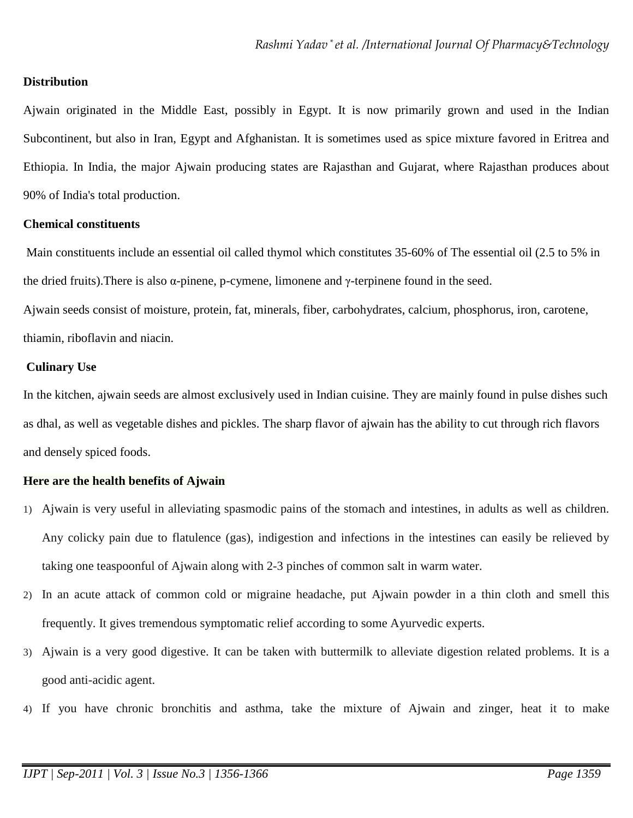#### **Distribution**

Ajwain originated in the Middle East, possibly in Egypt. It is now primarily grown and used in the Indian Subcontinent, but also in Iran, Egypt and Afghanistan. It is sometimes used as spice mixture favored in Eritrea and Ethiopia. In India, the major Ajwain producing states are Rajasthan and Gujarat, where Rajasthan produces about 90% of India's total production.

#### **Chemical constituents**

 Main constituents include an essential oil called thymol which constitutes 35-60% of The essential oil (2.5 to 5% in the dried fruits). There is also  $\alpha$ -pinene, p-cymene, limonene and  $\gamma$ -terpinene found in the seed.

Ajwain seeds consist of moisture, protein, fat, minerals, fiber, carbohydrates, calcium, phosphorus, iron, carotene, thiamin, riboflavin and niacin.

#### **Culinary Use**

In the kitchen, ajwain seeds are almost exclusively used in Indian cuisine. They are mainly found in pulse dishes such as dhal, as well as vegetable dishes and pickles. The sharp flavor of ajwain has the ability to cut through rich flavors and densely spiced foods.

#### **Here are the health benefits of Ajwain**

- 1) Ajwain is very useful in alleviating spasmodic pains of the stomach and intestines, in adults as well as children. Any colicky pain due to flatulence (gas), indigestion and infections in the intestines can easily be relieved by taking one teaspoonful of Ajwain along with 2-3 pinches of common salt in warm water.
- 2) In an acute attack of common cold or migraine headache, put Ajwain powder in a thin cloth and smell this frequently. It gives tremendous symptomatic relief according to some Ayurvedic experts.
- 3) Ajwain is a very good digestive. It can be taken with buttermilk to alleviate digestion related problems. It is a good anti-acidic agent.
- 4) If you have chronic bronchitis and asthma, take the mixture of Ajwain and zinger, heat it to make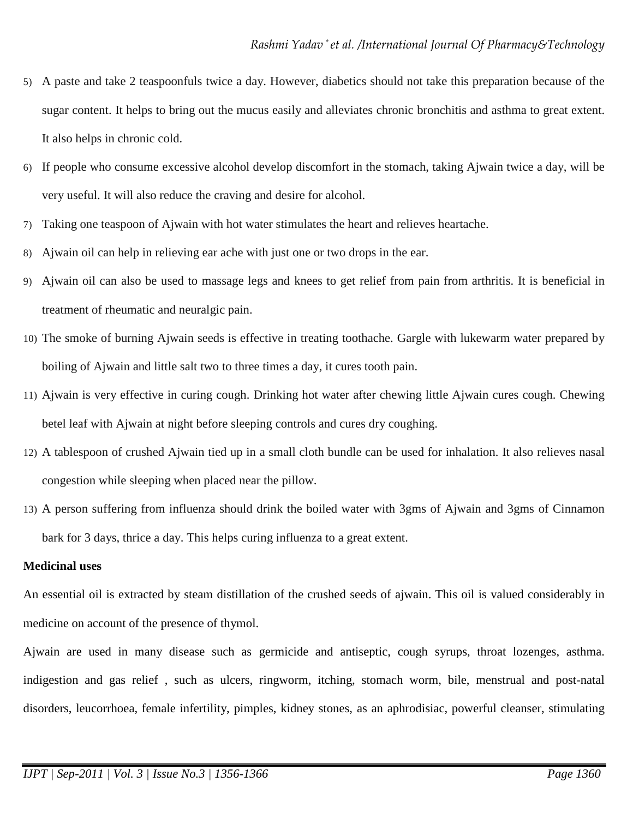- 5) A paste and take 2 teaspoonfuls twice a day. However, diabetics should not take this preparation because of the sugar content. It helps to bring out the mucus easily and alleviates chronic bronchitis and asthma to great extent. It also helps in chronic cold.
- 6) If people who consume excessive alcohol develop discomfort in the stomach, taking Ajwain twice a day, will be very useful. It will also reduce the craving and desire for alcohol.
- 7) Taking one teaspoon of Ajwain with hot water stimulates the heart and relieves heartache.
- 8) Ajwain oil can help in relieving ear ache with just one or two drops in the ear.
- 9) Ajwain oil can also be used to massage legs and knees to get relief from pain from arthritis. It is beneficial in treatment of rheumatic and neuralgic pain.
- 10) The smoke of burning Ajwain seeds is effective in treating toothache. Gargle with lukewarm water prepared by boiling of Ajwain and little salt two to three times a day, it cures tooth pain.
- 11) Ajwain is very effective in curing cough. Drinking hot water after chewing little Ajwain cures cough. Chewing betel leaf with Ajwain at night before sleeping controls and cures dry coughing.
- 12) A tablespoon of crushed Ajwain tied up in a small cloth bundle can be used for inhalation. It also relieves nasal congestion while sleeping when placed near the pillow.
- 13) A person suffering from influenza should drink the boiled water with 3gms of Ajwain and 3gms of Cinnamon bark for 3 days, thrice a day. This helps curing influenza to a great extent.

# **Medicinal uses**

An essential oil is extracted by steam distillation of the crushed seeds of ajwain. This oil is valued considerably in medicine on account of the presence of thymol.

Ajwain are used in many disease such as germicide and antiseptic, cough syrups, throat lozenges, asthma. indigestion and gas relief , such as ulcers, ringworm, itching, stomach worm, bile, menstrual and post-natal disorders, leucorrhoea, female infertility, pimples, kidney stones, as an aphrodisiac, powerful cleanser, stimulating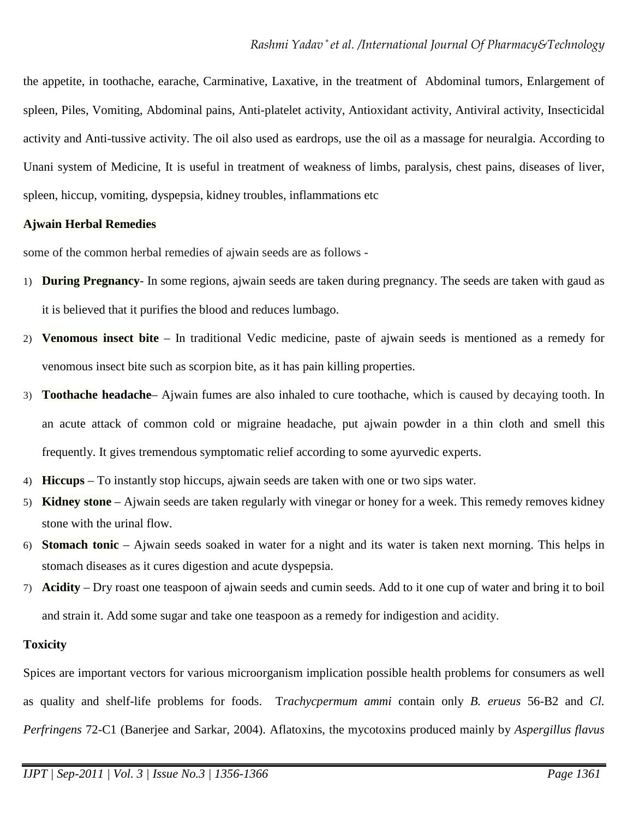the appetite, in toothache, earache, Carminative, Laxative, in the treatment of Abdominal tumors, Enlargement of spleen, Piles, Vomiting, Abdominal pains, Anti-platelet activity, Antioxidant activity, Antiviral activity, Insecticidal activity and Anti-tussive activity. The oil also used as eardrops, use the oil as a massage for neuralgia. According to Unani system of Medicine, It is useful in treatment of weakness of limbs, paralysis, chest pains, diseases of liver, spleen, hiccup, vomiting, dyspepsia, kidney troubles, inflammations etc

## **Ajwain Herbal Remedies**

some of the common herbal remedies of ajwain seeds are as follows -

- 1) **During Pregnancy** In some regions, ajwain seeds are taken during pregnancy. The seeds are taken with gaud as it is believed that it purifies the blood and reduces lumbago.
- 2) **Venomous insect bite** In traditional Vedic medicine, paste of ajwain seeds is mentioned as a remedy for venomous insect bite such as scorpion bite, as it has pain killing properties.
- 3) **Toothache headache** Ajwain fumes are also inhaled to cure toothache, which is caused by decaying tooth. In an acute attack of common cold or migraine headache, put ajwain powder in a thin cloth and smell this frequently. It gives tremendous symptomatic relief according to some ayurvedic experts.
- 4) **Hiccups** To instantly stop hiccups, ajwain seeds are taken with one or two sips water.
- 5) **Kidney stone** Ajwain seeds are taken regularly with vinegar or honey for a week. This remedy removes kidney stone with the urinal flow.
- 6) **Stomach tonic** Ajwain seeds soaked in water for a night and its water is taken next morning. This helps in stomach diseases as it cures digestion and acute dyspepsia.
- 7) **Acidity** Dry roast one teaspoon of ajwain seeds and cumin seeds. Add to it one cup of water and bring it to boil and strain it. Add some sugar and take one teaspoon as a remedy for indigestion and acidity.

#### **Toxicity**

Spices are important vectors for various microorganism implication possible health problems for consumers as well as quality and shelf-life problems for foods. T*rachycpermum ammi* contain only *B. erueus* 56-B2 and *Cl. Perfringens* 72-C1 (Banerjee and Sarkar, 2004). Aflatoxins, the mycotoxins produced mainly by *Aspergillus flavus*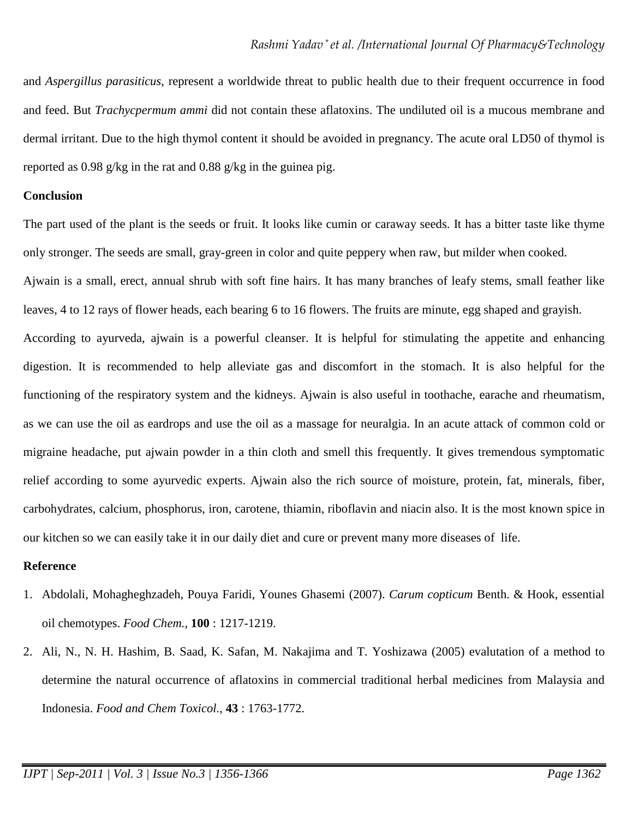and *Aspergillus parasiticus*, represent a worldwide threat to public health due to their frequent occurrence in food and feed. But *Trachycpermum ammi* did not contain these aflatoxins. The undiluted oil is a mucous membrane and dermal irritant. Due to the high thymol content it should be avoided in pregnancy. The acute oral LD50 of thymol is reported as 0.98 g/kg in the rat and 0.88 g/kg in the guinea pig.

#### **Conclusion**

The part used of the plant is the seeds or fruit. It looks like cumin or caraway seeds. It has a bitter taste like thyme only stronger. The seeds are small, gray-green in color and quite peppery when raw, but milder when cooked. Ajwain is a small, erect, annual shrub with soft fine hairs. It has many branches of leafy stems, small feather like leaves, 4 to 12 rays of flower heads, each bearing 6 to 16 flowers. The fruits are minute, egg shaped and grayish. According to ayurveda, ajwain is a powerful cleanser. It is helpful for stimulating the appetite and enhancing digestion. It is recommended to help alleviate gas and discomfort in the stomach. It is also helpful for the functioning of the respiratory system and the kidneys. Ajwain is also useful in toothache, earache and rheumatism, as we can use the oil as eardrops and use the oil as a massage for neuralgia. In an acute attack of common cold or migraine headache, put ajwain powder in a thin cloth and smell this frequently. It gives tremendous symptomatic relief according to some ayurvedic experts. Ajwain also the rich source of moisture, protein, fat, minerals, fiber, carbohydrates, calcium, phosphorus, iron, carotene, thiamin, riboflavin and niacin also. It is the most known spice in our kitchen so we can easily take it in our daily diet and cure or prevent many more diseases of life.

#### **Reference**

- 1. Abdolali, Mohagheghzadeh, Pouya Faridi, Younes Ghasemi (2007). *Carum copticum* Benth. & Hook, essential oil chemotypes. *Food Chem.*, **100** : 1217-1219.
- 2. Ali, N., N. H. Hashim, B. Saad, K. Safan, M. Nakajima and T. Yoshizawa (2005) evalutation of a method to determine the natural occurrence of aflatoxins in commercial traditional herbal medicines from Malaysia and Indonesia. *Food and Chem Toxicol.*, **43** : 1763-1772.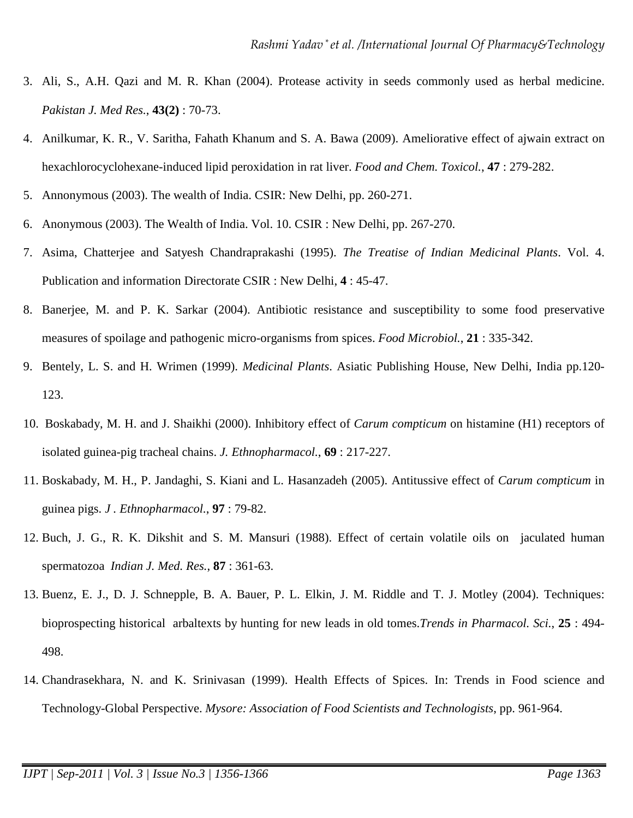- 3. Ali, S., A.H. Qazi and M. R. Khan (2004). Protease activity in seeds commonly used as herbal medicine. *Pakistan J. Med Res.*, **43(2)** : 70-73.
- 4. Anilkumar, K. R., V. Saritha, Fahath Khanum and S. A. Bawa (2009). Ameliorative effect of ajwain extract on hexachlorocyclohexane-induced lipid peroxidation in rat liver. *Food and Chem. Toxicol.*, **47** : 279-282.
- 5. Annonymous (2003). The wealth of India. CSIR: New Delhi, pp. 260-271.
- 6. Anonymous (2003). The Wealth of India. Vol. 10. CSIR : New Delhi, pp. 267-270.
- 7. Asima, Chatterjee and Satyesh Chandraprakashi (1995). *The Treatise of Indian Medicinal Plants*. Vol. 4. Publication and information Directorate CSIR : New Delhi, **4** : 45-47.
- 8. Banerjee, M. and P. K. Sarkar (2004). Antibiotic resistance and susceptibility to some food preservative measures of spoilage and pathogenic micro-organisms from spices. *Food Microbiol.*, **21** : 335-342.
- 9. Bentely, L. S. and H. Wrimen (1999). *Medicinal Plants*. Asiatic Publishing House, New Delhi, India pp.120- 123.
- 10. Boskabady, M. H. and J. Shaikhi (2000). Inhibitory effect of *Carum compticum* on histamine (H1) receptors of isolated guinea-pig tracheal chains. *J. Ethnopharmacol.*, **69** : 217-227.
- 11. Boskabady, M. H., P. Jandaghi, S. Kiani and L. Hasanzadeh (2005). Antitussive effect of *Carum compticum* in guinea pigs. *J . Ethnopharmacol.*, **97** : 79-82.
- 12. Buch, J. G., R. K. Dikshit and S. M. Mansuri (1988). Effect of certain volatile oils on jaculated human spermatozoa *Indian J. Med. Res.*, **87** : 361-63.
- 13. Buenz, E. J., D. J. Schnepple, B. A. Bauer, P. L. Elkin, J. M. Riddle and T. J. Motley (2004). Techniques: bioprospecting historical arbaltexts by hunting for new leads in old tomes.*Trends in Pharmacol. Sci.*, **25** : 494- 498.
- 14. Chandrasekhara, N. and K. Srinivasan (1999). Health Effects of Spices. In: Trends in Food science and Technology-Global Perspective. *Mysore: Association of Food Scientists and Technologists*, pp. 961-964.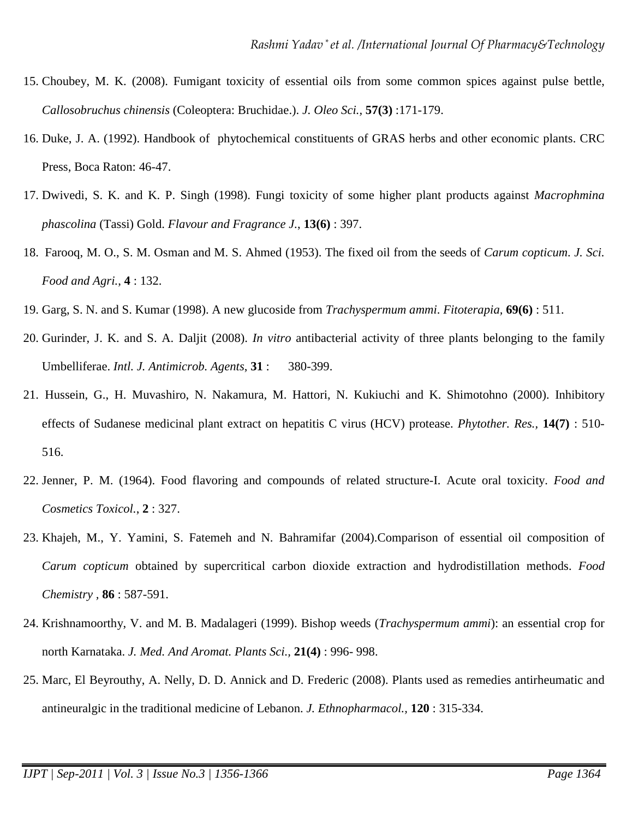- 15. Choubey, M. K. (2008). Fumigant toxicity of essential oils from some common spices against pulse bettle, *Callosobruchus chinensis* (Coleoptera: Bruchidae.). *J. Oleo Sci.,* **57(3)** :171-179.
- 16. Duke, J. A. (1992). Handbook of phytochemical constituents of GRAS herbs and other economic plants. CRC Press, Boca Raton: 46-47.
- 17. Dwivedi, S. K. and K. P. Singh (1998). Fungi toxicity of some higher plant products against *Macrophmina phascolina* (Tassi) Gold. *Flavour and Fragrance J.*, **13(6)** : 397.
- 18. Farooq, M. O., S. M. Osman and M. S. Ahmed (1953). The fixed oil from the seeds of *Carum copticum*. *J. Sci. Food and Agri.*, **4** : 132.
- 19. Garg, S. N. and S. Kumar (1998). A new glucoside from *Trachyspermum ammi*. *Fitoterapia,* **69(6)** : 511.
- 20. Gurinder, J. K. and S. A. Daljit (2008). *In vitro* antibacterial activity of three plants belonging to the family Umbelliferae. *Intl. J. Antimicrob. Agents*, **31** : 380-399.
- 21. Hussein, G., H. Muvashiro, N. Nakamura, M. Hattori, N. Kukiuchi and K. Shimotohno (2000). Inhibitory effects of Sudanese medicinal plant extract on hepatitis C virus (HCV) protease. *Phytother. Res.,* **14(7)** : 510- 516.
- 22. Jenner, P. M. (1964). Food flavoring and compounds of related structure-I. Acute oral toxicity. *Food and Cosmetics Toxicol.*, **2** : 327.
- 23. Khajeh, M., Y. Yamini, S. Fatemeh and N. Bahramifar (2004).Comparison of essential oil composition of *Carum copticum* obtained by supercritical carbon dioxide extraction and hydrodistillation methods. *Food Chemistry ,* **86** : 587-591.
- 24. Krishnamoorthy, V. and M. B. Madalageri (1999). Bishop weeds (*Trachyspermum ammi*): an essential crop for north Karnataka. *J. Med. And Aromat. Plants Sci.,* **21(4)** : 996- 998.
- 25. Marc, El Beyrouthy, A. Nelly, D. D. Annick and D. Frederic (2008). Plants used as remedies antirheumatic and antineuralgic in the traditional medicine of Lebanon. *J. Ethnopharmacol.,* **120** : 315-334.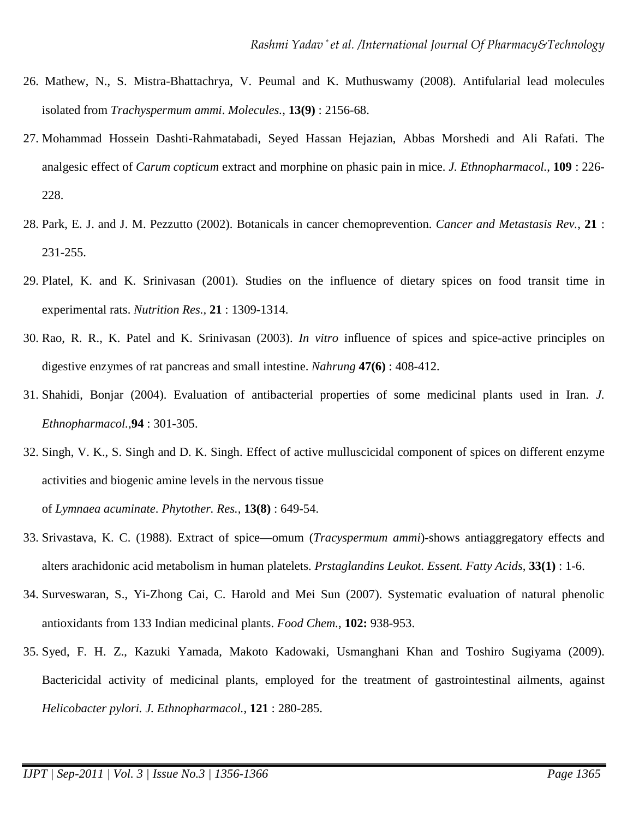- 26. Mathew, N., S. Mistra-Bhattachrya, V. Peumal and K. Muthuswamy (2008). Antifularial lead molecules isolated from *Trachyspermum ammi*. *Molecules.*, **13(9)** : 2156-68.
- 27. Mohammad Hossein Dashti-Rahmatabadi, Seyed Hassan Hejazian, Abbas Morshedi and Ali Rafati. The analgesic effect of *Carum copticum* extract and morphine on phasic pain in mice. *J. Ethnopharmacol.*, **109** : 226- 228.
- 28. Park, E. J. and J. M. Pezzutto (2002). Botanicals in cancer chemoprevention. *Cancer and Metastasis Rev.*, **21** : 231-255.
- 29. Platel, K. and K. Srinivasan (2001). Studies on the influence of dietary spices on food transit time in experimental rats. *Nutrition Res.,* **21** : 1309-1314.
- 30. Rao, R. R., K. Patel and K. Srinivasan (2003). *In vitro* influence of spices and spice-active principles on digestive enzymes of rat pancreas and small intestine. *Nahrung* **47(6)** : 408-412.
- 31. Shahidi, Bonjar (2004). Evaluation of antibacterial properties of some medicinal plants used in Iran. *J. Ethnopharmacol.*,**94** : 301-305.
- 32. Singh, V. K., S. Singh and D. K. Singh. Effect of active mulluscicidal component of spices on different enzyme activities and biogenic amine levels in the nervous tissue of *Lymnaea acuminate*. *Phytother. Res.,* **13(8)** : 649-54.
- 33. Srivastava, K. C. (1988). Extract of spice—omum (*Tracyspermum ammi*)-shows antiaggregatory effects and alters arachidonic acid metabolism in human platelets. *Prstaglandins Leukot. Essent. Fatty Acids*, **33(1)** : 1-6.
- 34. Surveswaran, S., Yi-Zhong Cai, C. Harold and Mei Sun (2007). Systematic evaluation of natural phenolic antioxidants from 133 Indian medicinal plants. *Food Chem.*, **102:** 938-953.
- 35. Syed, F. H. Z., Kazuki Yamada, Makoto Kadowaki, Usmanghani Khan and Toshiro Sugiyama (2009). Bactericidal activity of medicinal plants, employed for the treatment of gastrointestinal ailments, against *Helicobacter pylori. J. Ethnopharmacol.*, **121** : 280-285.